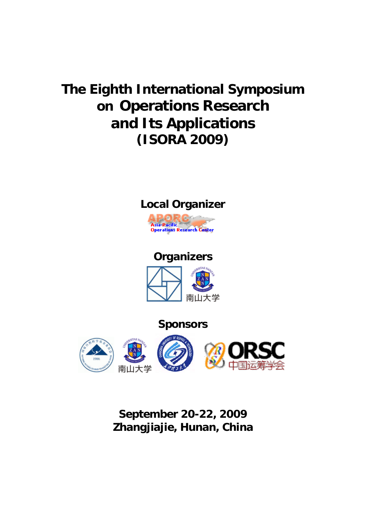# **The Eighth International Symposium on Operations Research and Its Applications (ISORA 2009)**



# **Organizers**



**Sponsors**



**September 20-22, 2009 Zhangjiajie, Hunan, China**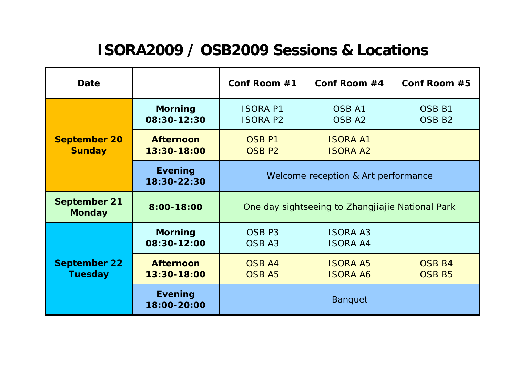# **ISORA2009 / OSB2009 Sessions & Locations**

| <b>Date</b>                           |                                 | Conf Room $#1$                                   | Conf Room #4                       | Conf Room #5                           |
|---------------------------------------|---------------------------------|--------------------------------------------------|------------------------------------|----------------------------------------|
| <b>September 20</b><br><b>Sunday</b>  | <b>Morning</b><br>08:30-12:30   | <b>ISORA P1</b><br><b>ISORA P2</b>               | <b>OSB A1</b><br>OSB <sub>A2</sub> | OSB <sub>B1</sub><br>OSB <sub>B2</sub> |
|                                       | <b>Afternoon</b><br>13:30-18:00 | OSB <sub>P1</sub><br>OSB <sub>P2</sub>           | <b>ISORA A1</b><br><b>ISORA A2</b> |                                        |
|                                       | <b>Evening</b><br>18:30-22:30   | Welcome reception & Art performance              |                                    |                                        |
| <b>September 21</b><br><b>Monday</b>  | 8:00-18:00                      | One day sightseeing to Zhangjiajie National Park |                                    |                                        |
| <b>September 22</b><br><b>Tuesday</b> | <b>Morning</b><br>08:30-12:00   | OSB <sub>P3</sub><br>OSB <sub>A3</sub>           | <b>ISORA A3</b><br><b>ISORA A4</b> |                                        |
|                                       | <b>Afternoon</b><br>13:30-18:00 | <b>OSB A4</b><br><b>OSB A5</b>                   | <b>ISORA A5</b><br><b>ISORA A6</b> | <b>OSB B4</b><br><b>OSB B5</b>         |
|                                       | <b>Evening</b><br>18:00-20:00   | <b>Banquet</b>                                   |                                    |                                        |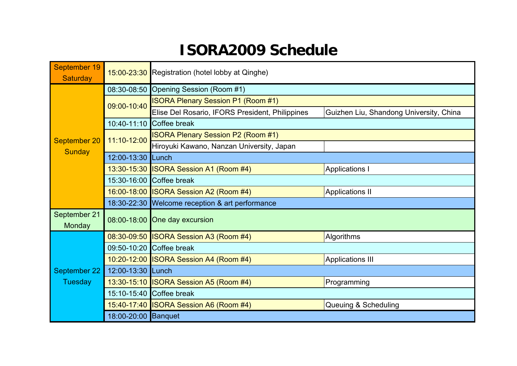# **ISORA2009 Schedule**

| September 19<br><b>Saturday</b> |                     | 15:00-23:30 Registration (hotel lobby at Qinghe) |                                         |  |
|---------------------------------|---------------------|--------------------------------------------------|-----------------------------------------|--|
| September 20<br><b>Sunday</b>   |                     | 08:30-08:50 Opening Session (Room #1)            |                                         |  |
|                                 | 09:00-10:40         | <b>ISORA Plenary Session P1 (Room #1)</b>        |                                         |  |
|                                 |                     | Elise Del Rosario, IFORS President, Philippines  | Guizhen Liu, Shandong University, China |  |
|                                 |                     | 10:40-11:10 Coffee break                         |                                         |  |
|                                 | 11:10-12:00         | <b>ISORA Plenary Session P2 (Room #1)</b>        |                                         |  |
|                                 |                     | Hiroyuki Kawano, Nanzan University, Japan        |                                         |  |
|                                 | 12:00-13:30 Lunch   |                                                  |                                         |  |
|                                 |                     | 13:30-15:30 ISORA Session A1 (Room #4)           | <b>Applications I</b>                   |  |
|                                 |                     | 15:30-16:00 Coffee break                         |                                         |  |
|                                 |                     | 16:00-18:00 ISORA Session A2 (Room #4)           | <b>Applications II</b>                  |  |
|                                 |                     | 18:30-22:30 Welcome reception & art performance  |                                         |  |
| September 21<br>Monday          |                     | 08:00-18:00 One day excursion                    |                                         |  |
| September 22<br>Tuesday         |                     | 08:30-09:50 ISORA Session A3 (Room #4)           | Algorithms                              |  |
|                                 |                     | 09:50-10:20 Coffee break                         |                                         |  |
|                                 |                     | 10:20-12:00 ISORA Session A4 (Room #4)           | <b>Applications III</b>                 |  |
|                                 | 12:00-13:30 Lunch   |                                                  |                                         |  |
|                                 |                     | 13:30-15:10 ISORA Session A5 (Room #4)           | Programming                             |  |
|                                 |                     | 15:10-15:40 Coffee break                         |                                         |  |
|                                 |                     | 15:40-17:40 ISORA Session A6 (Room #4)           | Queuing & Scheduling                    |  |
|                                 | 18:00-20:00 Banquet |                                                  |                                         |  |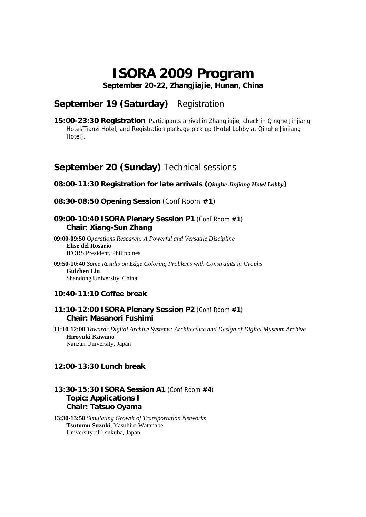# **ISORA 2009 Program**

**September 20-22, Zhangjiajie, Hunan, China** 

# **September 19 (Saturday)** Registration

**15:00-23:30 Registration**, Participants arrival in Zhangjiajie, check in Qinghe Jinjiang Hotel/Tianzi Hotel, and Registration package pick up (Hotel Lobby at Qinghe Jinjiang Hotel).

# **September 20 (Sunday)** Technical sessions

#### **08:00-11:30 Registration for late arrivals (***Qinghe Jinjiang Hotel Lobby***)**

**08:30-08:50 Opening Session** (Conf Room **#1**)

#### **09:00-10:40 ISORA Plenary Session P1** (Conf Room **#1**)  **Chair: Xiang-Sun Zhang**

**09:00-09:50** *Operations Research: A Powerful and Versatile Discipline*  **Elise del Rosario** IFORS President, Philippines

**09:50-10:40** *Some Results on Edge Coloring Problems with Constraints in Graphs*  **Guizhen Liu** Shandong University, China

## **10:40-11:10 Coffee break**

## **11:10-12:00 ISORA Plenary Session P2** (Conf Room **#1**)  **Chair: Masanori Fushimi**

**11:10-12:00** *Towards Digital Archive Systems: Architecture and Design of Digital Museum Archive*  **Hiroyuki Kawano** Nanzan University, Japan

## **12:00-13:30 Lunch break**

# **13:30-15:30 ISORA Session A1** (Conf Room **#4**) **Topic: Applications I Chair: Tatsuo Oyama**

**13:30-13:50** *Simulating Growth of Transportation Networks* **Tsutomu Suzuki**, Yasuhiro Watanabe University of Tsukuba, Japan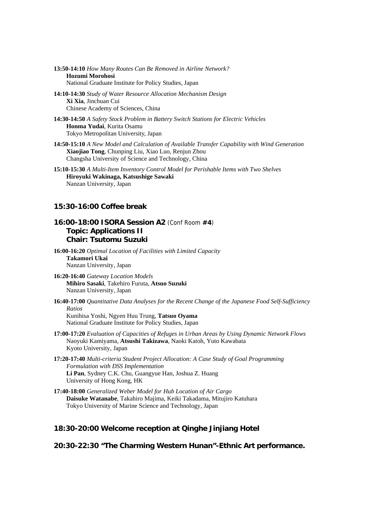**13:50-14:10** *How Many Routes Can Be Removed in Airline Network?* **Hozumi Morohosi** National Graduate Institute for Policy Studies, Japan

- **14:10-14:30** *Study of Water Resource Allocation Mechanism Design* **Xi Xia**, Jinchuan Cui Chinese Academy of Sciences, China
- **14:30-14:50** *A Safety Stock Problem in Battery Switch Stations for Electric Vehicles* **Honma Yudai**, Kurita Osamu Tokyo Metropolitan University, Japan
- **14:50-15:10** *A New Model and Calculation of Available Transfer Capability with Wind Generation* **Xiaojiao Tong**, Chunping Liu, Xiao Luo, Renjun Zhou Changsha University of Science and Technology, China
- **15:10-15:30** *A Multi-Item Inventory Control Model for Perishable Items with Two Shelves*  **Hiroyuki Wakinaga, Katsushige Sawaki**  Nanzan University, Japan

#### **15:30-16:00 Coffee break**

## **16:00-18:00 ISORA Session A2** (Conf Room **#4**) **Topic: Applications II Chair: Tsutomu Suzuki**

**16:00-16:20** *Optimal Location of Facilities with Limited Capacity*  **Takamori Ukai**  Nanzan University, Japan

- **16:20-16:40** *Gateway Location Models*  **Mihiro Sasaki**, Takehiro Furuta, **Atsuo Suzuki**  Nanzan University, Japan
- **16:40-17:00** *Quantitative Data Analyses for the Recent Change of the Japanese Food Self-Sufficiency Ratios*  Kunihisa Yoshi, Ngyen Huu Trung, **Tatsuo Oyama**

National Graduate Institute for Policy Studies, Japan

- **17:00-17:20** *Evaluation of Capacities of Refuges in Urban Areas by Using Dynamic Network Flows*  Naoyuki Kamiyama, **Atsushi Takizawa**, Naoki Katoh, Yuto Kawabata Kyoto University, Japan
- **17:20-17:40** *Multi-criteria Student Project Allocation: A Case Study of Goal Programming Formulation with DSS Implementation*  **Li Pan**, Sydney C.K. Chu, Guangyue Han, Joshua Z. Huang University of Hong Kong, HK
- **17:40-18:00** *Generalized Weber Model for Hub Location of Air Cargo*  **Daisuke Watanabe**, Takahiro Majima, Keiki Takadama, Mitujiro Katuhara Tokyo University of Marine Science and Technology, Japan

## **18:30-20:00 Welcome reception at Qinghe Jinjiang Hotel**

**20:30-22:30 "The Charming Western Hunan"-Ethnic Art performance.**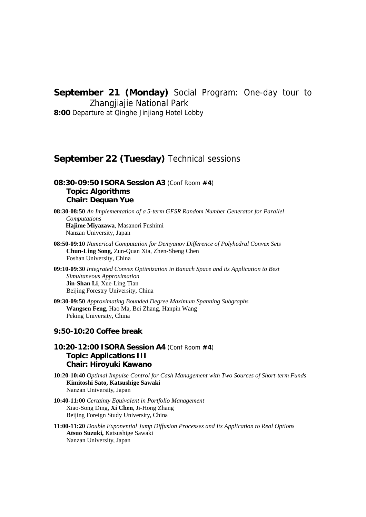# **September 21 (Monday)** Social Program: One-day tour to

Zhangjiajie National Park

**8:00** Departure at Qinghe Jinjiang Hotel Lobby

# **September 22 (Tuesday)** Technical sessions

# **08:30-09:50 ISORA Session A3** (Conf Room **#4**) **Topic: Algorithms Chair: Dequan Yue**

**08:30-08:50** *An Implementation of a 5-term GFSR Random Number Generator for Parallel Computations*  **Hajime Miyazawa**, Masanori Fushimi Nanzan University, Japan

- **08:50-09:10** *Numerical Computation for Demyanov Difference of Polyhedral Convex Sets* **Chun-Ling Song**, Zun-Quan Xia, Zhen-Sheng Chen Foshan University, China
- **09:10-09:30** *Integrated Convex Optimization in Banach Space and its Application to Best Simultaneous Approximation*  **Jin-Shan Li**, Xue-Ling Tian Beijing Forestry University, China
- **09:30-09:50** *Approximating Bounded Degree Maximum Spanning Subgraphs*  **Wangsen Feng**, Hao Ma, Bei Zhang, Hanpin Wang Peking University, China

### **9:50-10:20 Coffee break**

- **10:20-12:00 ISORA Session A4** (Conf Room **#4**) **Topic: Applications III Chair: Hiroyuki Kawano**
- **10:20-10:40** *Optimal Impulse Control for Cash Management with Two Sources of Short-term Funds*  **Kimitoshi Sato, Katsushige Sawaki** Nanzan University, Japan
- **10:40-11:00** *Certainty Equivalent in Portfolio Management*  Xiao-Song Ding, **Xi Chen**, Ji-Hong Zhang Beijing Foreign Study University, China
- **11:00-11:20** *Double Exponential Jump Diffusion Processes and Its Application to Real Options*  **Atsuo Suzuki,** Katsushige Sawaki Nanzan University, Japan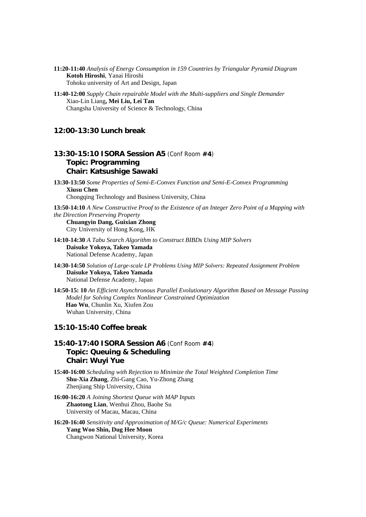**11:20-11:40** *Analysis of Energy Consumption in 159 Countries by Triangular Pyramid Diagram*  **Kotoh Hiroshi**, Yanai Hiroshi Tohoku university of Art and Design, Japan

**11:40-12:00** *Supply Chain repairable Model with the Multi-suppliers and Single Demander*  Xiao-Lin Liang**, Mei Liu, Lei Tan** Changsha University of Science & Technology, China

#### **12:00-13:30 Lunch break**

## **13:30-15:10 ISORA Session A5** (Conf Room **#4**) **Topic: Programming Chair: Katsushige Sawaki**

**13:30-13:50** *Some Properties of Semi-E-Convex Function and Semi-E-Convex Programming*  **Xiusu Chen** Chongqing Technology and Business University, China

**13:50-14:10** *A New Constructive Proof to the Existence of an Integer Zero Point of a Mapping with the Direction Preserving Property* 

**Chuangyin Dang, Guixian Zhong** City University of Hong Kong, HK

**14:10-14:30** *A Tabu Search Algorithm to Construct BIBDs Using MIP Solvers*  **Daisuke Yokoya, Takeo Yamada** National Defense Academy, Japan

**14:30-14:50** *Solution of Large-scale LP Problems Using MIP Solvers: Repeated Assignment Problem*  **Daisuke Yokoya, Takeo Yamada** National Defense Academy, Japan

**14:50-15: 10** *An Efficient Asynchronous Parallel Evolutionary Algorithm Based on Message Passing Model for Solving Complex Nonlinear Constrained Optimization*  **Hao Wu**, Chunlin Xu, Xiufen Zou Wuhan University, China

#### **15:10-15:40 Coffee break**

## **15:40-17:40 ISORA Session A6** (Conf Room **#4**) **Topic: Queuing & Scheduling Chair: Wuyi Yue**

**15:40-16:00** *Scheduling with Rejection to Minimize the Total Weighted Completion Time*  **Shu-Xia Zhang**, Zhi-Gang Cao, Yu-Zhong Zhang Zhenjiang Ship University, China

**16:00-16:20** *A Joining Shortest Queue with MAP Inputs*  **Zhaotong Lian**, Wenhui Zhou, Baohe Su University of Macau, Macau, China

**16:20-16:40** *Sensitivity and Approximation of M/G/c Queue: Numerical Experiments*  **Yang Woo Shin, Dug Hee Moon** Changwon National University, Korea